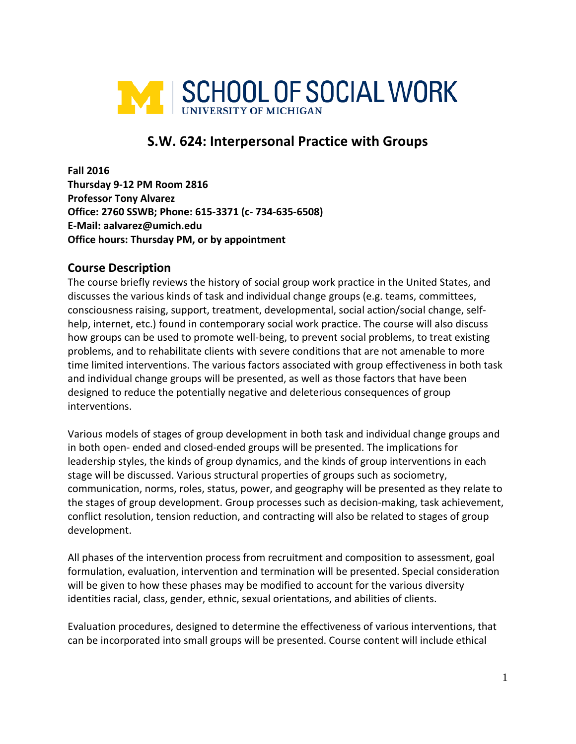

# **S.W. 624: Interpersonal Practice with Groups**

**Fall 2016 Thursday 9-12 PM Room 2816 Professor Tony Alvarez Office: 2760 SSWB; Phone: 615-3371 (c- 734-635-6508) E-Mail: aalvarez@umich.edu Office hours: Thursday PM, or by appointment** 

#### **Course Description**

The course briefly reviews the history of social group work practice in the United States, and discusses the various kinds of task and individual change groups (e.g. teams, committees, consciousness raising, support, treatment, developmental, social action/social change, selfhelp, internet, etc.) found in contemporary social work practice. The course will also discuss how groups can be used to promote well-being, to prevent social problems, to treat existing problems, and to rehabilitate clients with severe conditions that are not amenable to more time limited interventions. The various factors associated with group effectiveness in both task and individual change groups will be presented, as well as those factors that have been designed to reduce the potentially negative and deleterious consequences of group interventions.

Various models of stages of group development in both task and individual change groups and in both open- ended and closed-ended groups will be presented. The implications for leadership styles, the kinds of group dynamics, and the kinds of group interventions in each stage will be discussed. Various structural properties of groups such as sociometry, communication, norms, roles, status, power, and geography will be presented as they relate to the stages of group development. Group processes such as decision-making, task achievement, conflict resolution, tension reduction, and contracting will also be related to stages of group development.

All phases of the intervention process from recruitment and composition to assessment, goal formulation, evaluation, intervention and termination will be presented. Special consideration will be given to how these phases may be modified to account for the various diversity identities racial, class, gender, ethnic, sexual orientations, and abilities of clients.

Evaluation procedures, designed to determine the effectiveness of various interventions, that can be incorporated into small groups will be presented. Course content will include ethical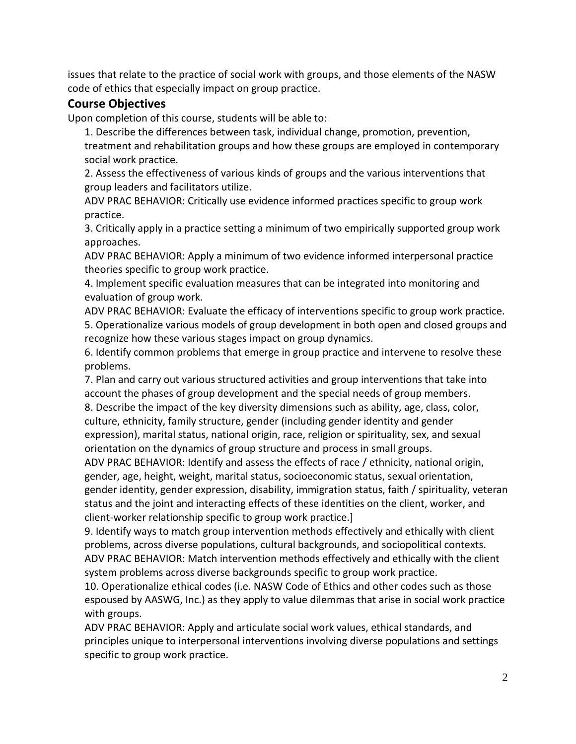issues that relate to the practice of social work with groups, and those elements of the NASW code of ethics that especially impact on group practice.

## **Course Objectives**

Upon completion of this course, students will be able to:

1. Describe the differences between task, individual change, promotion, prevention, treatment and rehabilitation groups and how these groups are employed in contemporary social work practice.

2. Assess the effectiveness of various kinds of groups and the various interventions that group leaders and facilitators utilize.

ADV PRAC BEHAVIOR: Critically use evidence informed practices specific to group work practice.

3. Critically apply in a practice setting a minimum of two empirically supported group work approaches.

ADV PRAC BEHAVIOR: Apply a minimum of two evidence informed interpersonal practice theories specific to group work practice.

4. Implement specific evaluation measures that can be integrated into monitoring and evaluation of group work.

ADV PRAC BEHAVIOR: Evaluate the efficacy of interventions specific to group work practice. 5. Operationalize various models of group development in both open and closed groups and recognize how these various stages impact on group dynamics.

6. Identify common problems that emerge in group practice and intervene to resolve these problems.

7. Plan and carry out various structured activities and group interventions that take into account the phases of group development and the special needs of group members.

8. Describe the impact of the key diversity dimensions such as ability, age, class, color, culture, ethnicity, family structure, gender (including gender identity and gender expression), marital status, national origin, race, religion or spirituality, sex, and sexual orientation on the dynamics of group structure and process in small groups.

ADV PRAC BEHAVIOR: Identify and assess the effects of race / ethnicity, national origin, gender, age, height, weight, marital status, socioeconomic status, sexual orientation, gender identity, gender expression, disability, immigration status, faith / spirituality, veteran status and the joint and interacting effects of these identities on the client, worker, and client-worker relationship specific to group work practice.]

9. Identify ways to match group intervention methods effectively and ethically with client problems, across diverse populations, cultural backgrounds, and sociopolitical contexts. ADV PRAC BEHAVIOR: Match intervention methods effectively and ethically with the client system problems across diverse backgrounds specific to group work practice.

10. Operationalize ethical codes (i.e. NASW Code of Ethics and other codes such as those espoused by AASWG, Inc.) as they apply to value dilemmas that arise in social work practice with groups.

ADV PRAC BEHAVIOR: Apply and articulate social work values, ethical standards, and principles unique to interpersonal interventions involving diverse populations and settings specific to group work practice.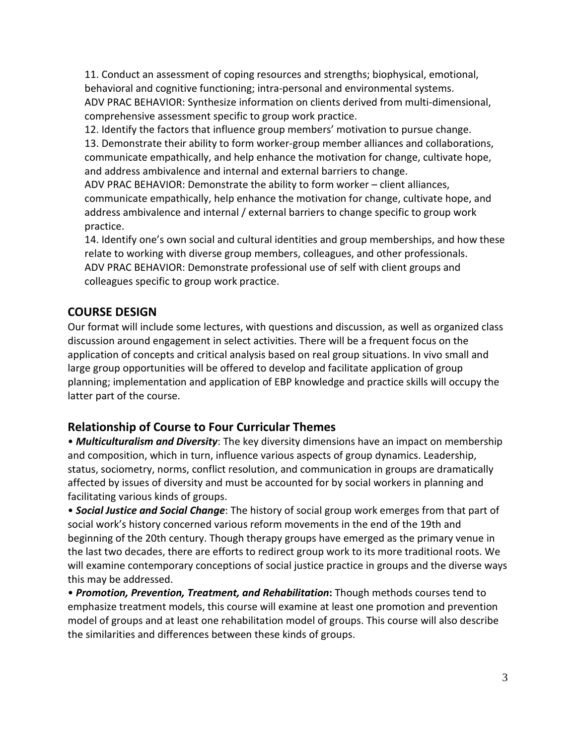11. Conduct an assessment of coping resources and strengths; biophysical, emotional, behavioral and cognitive functioning; intra-personal and environmental systems. ADV PRAC BEHAVIOR: Synthesize information on clients derived from multi-dimensional, comprehensive assessment specific to group work practice.

12. Identify the factors that influence group members' motivation to pursue change. 13. Demonstrate their ability to form worker-group member alliances and collaborations, communicate empathically, and help enhance the motivation for change, cultivate hope, and address ambivalence and internal and external barriers to change.

ADV PRAC BEHAVIOR: Demonstrate the ability to form worker – client alliances, communicate empathically, help enhance the motivation for change, cultivate hope, and address ambivalence and internal / external barriers to change specific to group work practice.

14. Identify one's own social and cultural identities and group memberships, and how these relate to working with diverse group members, colleagues, and other professionals. ADV PRAC BEHAVIOR: Demonstrate professional use of self with client groups and colleagues specific to group work practice.

## **COURSE DESIGN**

Our format will include some lectures, with questions and discussion, as well as organized class discussion around engagement in select activities. There will be a frequent focus on the application of concepts and critical analysis based on real group situations. In vivo small and large group opportunities will be offered to develop and facilitate application of group planning; implementation and application of EBP knowledge and practice skills will occupy the latter part of the course.

## **Relationship of Course to Four Curricular Themes**

• *Multiculturalism and Diversity*: The key diversity dimensions have an impact on membership and composition, which in turn, influence various aspects of group dynamics. Leadership, status, sociometry, norms, conflict resolution, and communication in groups are dramatically affected by issues of diversity and must be accounted for by social workers in planning and facilitating various kinds of groups.

• *Social Justice and Social Change*: The history of social group work emerges from that part of social work's history concerned various reform movements in the end of the 19th and beginning of the 20th century. Though therapy groups have emerged as the primary venue in the last two decades, there are efforts to redirect group work to its more traditional roots. We will examine contemporary conceptions of social justice practice in groups and the diverse ways this may be addressed.

• *Promotion, Prevention, Treatment, and Rehabilitation***:** Though methods courses tend to emphasize treatment models, this course will examine at least one promotion and prevention model of groups and at least one rehabilitation model of groups. This course will also describe the similarities and differences between these kinds of groups.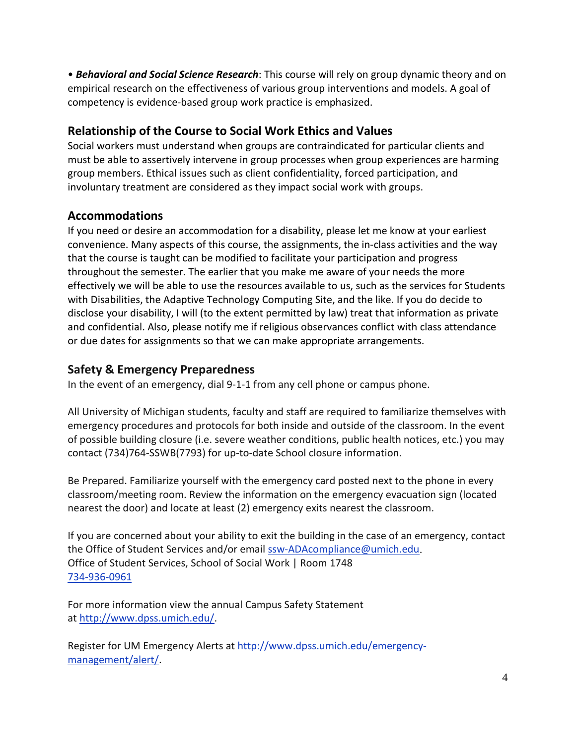• *Behavioral and Social Science Research*: This course will rely on group dynamic theory and on empirical research on the effectiveness of various group interventions and models. A goal of competency is evidence-based group work practice is emphasized.

# **Relationship of the Course to Social Work Ethics and Values**

Social workers must understand when groups are contraindicated for particular clients and must be able to assertively intervene in group processes when group experiences are harming group members. Ethical issues such as client confidentiality, forced participation, and involuntary treatment are considered as they impact social work with groups.

## **Accommodations**

If you need or desire an accommodation for a disability, please let me know at your earliest convenience. Many aspects of this course, the assignments, the in-class activities and the way that the course is taught can be modified to facilitate your participation and progress throughout the semester. The earlier that you make me aware of your needs the more effectively we will be able to use the resources available to us, such as the services for Students with Disabilities, the Adaptive Technology Computing Site, and the like. If you do decide to disclose your disability, I will (to the extent permitted by law) treat that information as private and confidential. Also, please notify me if religious observances conflict with class attendance or due dates for assignments so that we can make appropriate arrangements.

## **Safety & Emergency Preparedness**

In the event of an emergency, dial 9-1-1 from any cell phone or campus phone.

All University of Michigan students, faculty and staff are required to familiarize themselves with emergency procedures and protocols for both inside and outside of the classroom. In the event of possible building closure (i.e. severe weather conditions, public health notices, etc.) you may contact (734)764-SSWB(7793) for up-to-date School closure information.

Be Prepared. Familiarize yourself with the emergency card posted next to the phone in every classroom/meeting room. Review the information on the emergency evacuation sign (located nearest the door) and locate at least (2) emergency exits nearest the classroom.

If you are concerned about your ability to exit the building in the case of an emergency, contact the Office of Student Services and/or email [ssw-ADAcompliance@umich.edu.](mailto:ssw-ADAcompliance@umich.edu) Office of Student Services, School of Social Work | Room 1748 [734-936-0961](tel:734-936-0961)

For more information view the annual Campus Safety Statement at [http://www.dpss.umich.edu/.](http://www.dpss.umich.edu/)

Register for UM Emergency Alerts at [http://www.dpss.umich.edu/emergency](http://www.dpss.umich.edu/emergency-management/alert/)[management/alert/.](http://www.dpss.umich.edu/emergency-management/alert/)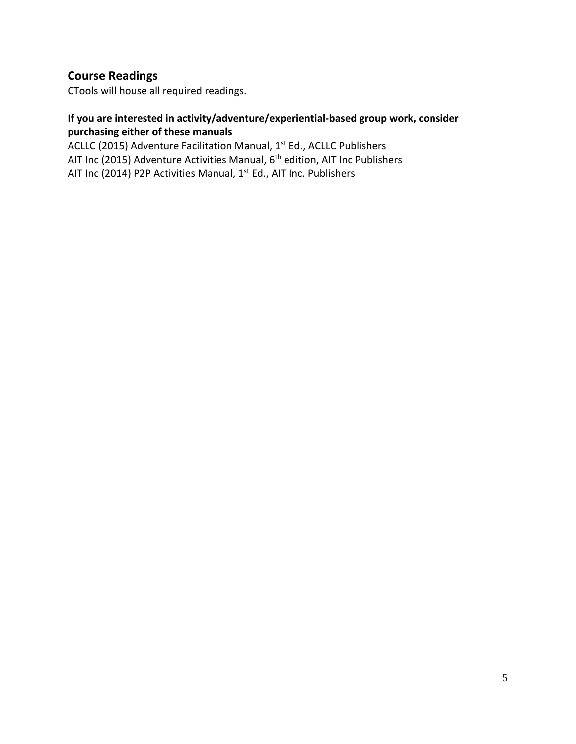## **Course Readings**

CTools will house all required readings.

#### **If you are interested in activity/adventure/experiential-based group work, consider purchasing either of these manuals**

ACLLC (2015) Adventure Facilitation Manual, 1<sup>st</sup> Ed., ACLLC Publishers AIT Inc (2015) Adventure Activities Manual, 6<sup>th</sup> edition, AIT Inc Publishers AIT Inc (2014) P2P Activities Manual, 1<sup>st</sup> Ed., AIT Inc. Publishers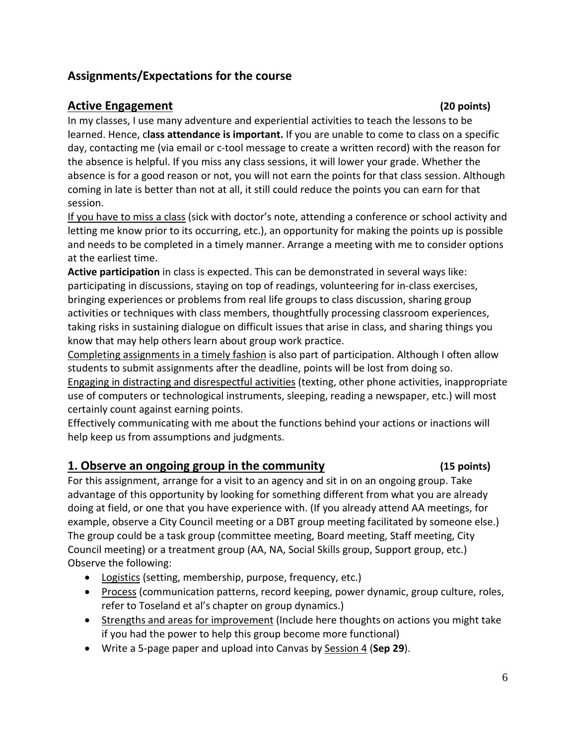# **Assignments/Expectations for the course**

### **Active Engagement (20 points)**

In my classes, I use many adventure and experiential activities to teach the lessons to be learned. Hence, c**lass attendance is important.** If you are unable to come to class on a specific day, contacting me (via email or c-tool message to create a written record) with the reason for the absence is helpful. If you miss any class sessions, it will lower your grade. Whether the absence is for a good reason or not, you will not earn the points for that class session. Although coming in late is better than not at all, it still could reduce the points you can earn for that session.

If you have to miss a class (sick with doctor's note, attending a conference or school activity and letting me know prior to its occurring, etc.), an opportunity for making the points up is possible and needs to be completed in a timely manner. Arrange a meeting with me to consider options at the earliest time.

**Active participation** in class is expected. This can be demonstrated in several ways like: participating in discussions, staying on top of readings, volunteering for in-class exercises, bringing experiences or problems from real life groups to class discussion, sharing group activities or techniques with class members, thoughtfully processing classroom experiences, taking risks in sustaining dialogue on difficult issues that arise in class, and sharing things you know that may help others learn about group work practice.

Completing assignments in a timely fashion is also part of participation. Although I often allow students to submit assignments after the deadline, points will be lost from doing so.

Engaging in distracting and disrespectful activities (texting, other phone activities, inappropriate use of computers or technological instruments, sleeping, reading a newspaper, etc.) will most certainly count against earning points.

Effectively communicating with me about the functions behind your actions or inactions will help keep us from assumptions and judgments.

## **1. Observe an ongoing group in the community (15 points)**

For this assignment, arrange for a visit to an agency and sit in on an ongoing group. Take advantage of this opportunity by looking for something different from what you are already doing at field, or one that you have experience with. (If you already attend AA meetings, for example, observe a City Council meeting or a DBT group meeting facilitated by someone else.) The group could be a task group (committee meeting, Board meeting, Staff meeting, City Council meeting) or a treatment group (AA, NA, Social Skills group, Support group, etc.) Observe the following:

- Logistics (setting, membership, purpose, frequency, etc.)
- Process (communication patterns, record keeping, power dynamic, group culture, roles, refer to Toseland et al's chapter on group dynamics.)
- Strengths and areas for improvement (Include here thoughts on actions you might take if you had the power to help this group become more functional)
- Write a 5-page paper and upload into Canvas by Session 4 (**Sep 29**).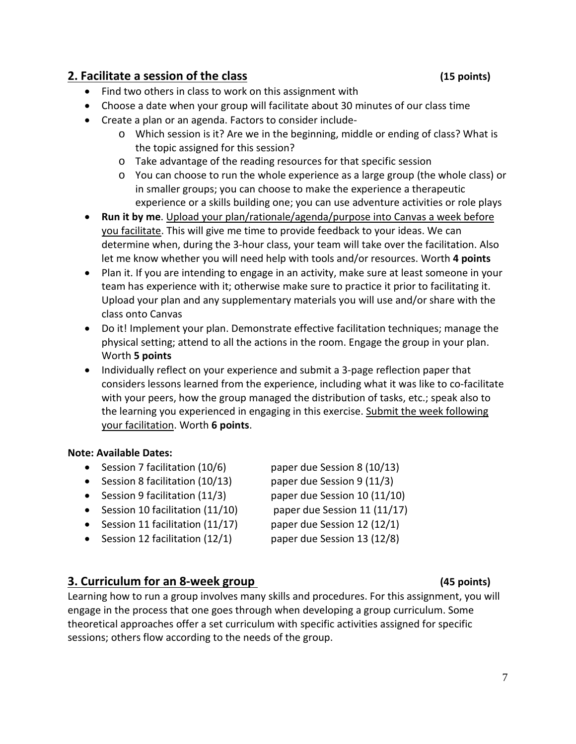### **2. Facilitate a session of the class (15 points)**

- Find two others in class to work on this assignment with
- Choose a date when your group will facilitate about 30 minutes of our class time
- Create a plan or an agenda. Factors to consider include
	- o Which session is it? Are we in the beginning, middle or ending of class? What is the topic assigned for this session?
	- o Take advantage of the reading resources for that specific session
	- o You can choose to run the whole experience as a large group (the whole class) or in smaller groups; you can choose to make the experience a therapeutic experience or a skills building one; you can use adventure activities or role plays
- **Run it by me**. Upload your plan/rationale/agenda/purpose into Canvas a week before you facilitate. This will give me time to provide feedback to your ideas. We can determine when, during the 3-hour class, your team will take over the facilitation. Also let me know whether you will need help with tools and/or resources. Worth **4 points**
- Plan it. If you are intending to engage in an activity, make sure at least someone in your team has experience with it; otherwise make sure to practice it prior to facilitating it. Upload your plan and any supplementary materials you will use and/or share with the class onto Canvas
- Do it! Implement your plan. Demonstrate effective facilitation techniques; manage the physical setting; attend to all the actions in the room. Engage the group in your plan. Worth **5 points**
- Individually reflect on your experience and submit a 3-page reflection paper that considers lessons learned from the experience, including what it was like to co-facilitate with your peers, how the group managed the distribution of tasks, etc.; speak also to the learning you experienced in engaging in this exercise. Submit the week following your facilitation. Worth **6 points**.

#### **Note: Available Dates:**

- Session 7 facilitation (10/6) paper due Session 8 (10/13)
- Session 8 facilitation (10/13) paper due Session 9 (11/3)
- Session 9 facilitation (11/3) paper due Session 10 (11/10)
- Session 10 facilitation (11/10) paper due Session 11 (11/17)
- Session 11 facilitation  $(11/17)$  paper due Session 12  $(12/1)$
- Session 12 facilitation (12/1) paper due Session 13 (12/8)

## **3. Curriculum for an 8-week group (45 points)**

Learning how to run a group involves many skills and procedures. For this assignment, you will engage in the process that one goes through when developing a group curriculum. Some theoretical approaches offer a set curriculum with specific activities assigned for specific sessions; others flow according to the needs of the group.

- 
- 
- 
- 
- 
-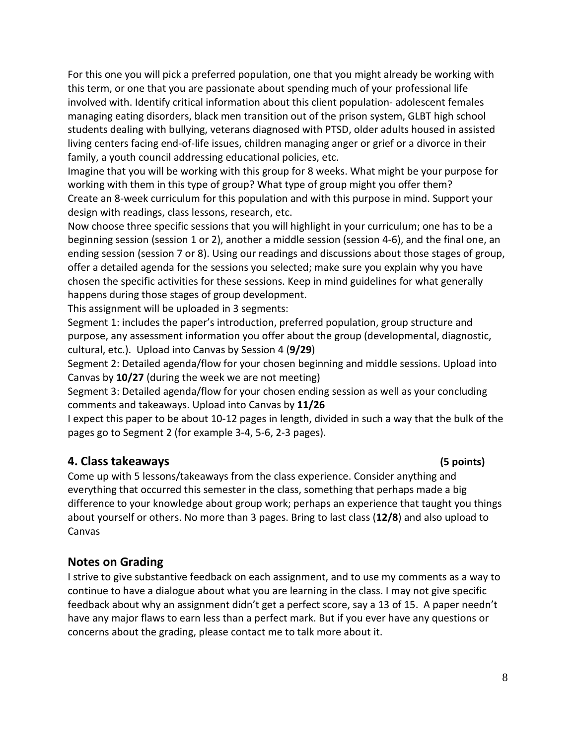For this one you will pick a preferred population, one that you might already be working with this term, or one that you are passionate about spending much of your professional life involved with. Identify critical information about this client population- adolescent females managing eating disorders, black men transition out of the prison system, GLBT high school students dealing with bullying, veterans diagnosed with PTSD, older adults housed in assisted living centers facing end-of-life issues, children managing anger or grief or a divorce in their family, a youth council addressing educational policies, etc.

Imagine that you will be working with this group for 8 weeks. What might be your purpose for working with them in this type of group? What type of group might you offer them? Create an 8-week curriculum for this population and with this purpose in mind. Support your design with readings, class lessons, research, etc.

Now choose three specific sessions that you will highlight in your curriculum; one has to be a beginning session (session 1 or 2), another a middle session (session 4-6), and the final one, an ending session (session 7 or 8). Using our readings and discussions about those stages of group, offer a detailed agenda for the sessions you selected; make sure you explain why you have chosen the specific activities for these sessions. Keep in mind guidelines for what generally happens during those stages of group development.

This assignment will be uploaded in 3 segments:

Segment 1: includes the paper's introduction, preferred population, group structure and purpose, any assessment information you offer about the group (developmental, diagnostic, cultural, etc.). Upload into Canvas by Session 4 (**9/29**)

Segment 2: Detailed agenda/flow for your chosen beginning and middle sessions. Upload into Canvas by **10/27** (during the week we are not meeting)

Segment 3: Detailed agenda/flow for your chosen ending session as well as your concluding comments and takeaways. Upload into Canvas by **11/26**

I expect this paper to be about 10-12 pages in length, divided in such a way that the bulk of the pages go to Segment 2 (for example 3-4, 5-6, 2-3 pages).

### **4. Class takeaways (5 points)**

Come up with 5 lessons/takeaways from the class experience. Consider anything and everything that occurred this semester in the class, something that perhaps made a big difference to your knowledge about group work; perhaps an experience that taught you things about yourself or others. No more than 3 pages. Bring to last class (**12/8**) and also upload to Canvas

### **Notes on Grading**

I strive to give substantive feedback on each assignment, and to use my comments as a way to continue to have a dialogue about what you are learning in the class. I may not give specific feedback about why an assignment didn't get a perfect score, say a 13 of 15. A paper needn't have any major flaws to earn less than a perfect mark. But if you ever have any questions or concerns about the grading, please contact me to talk more about it.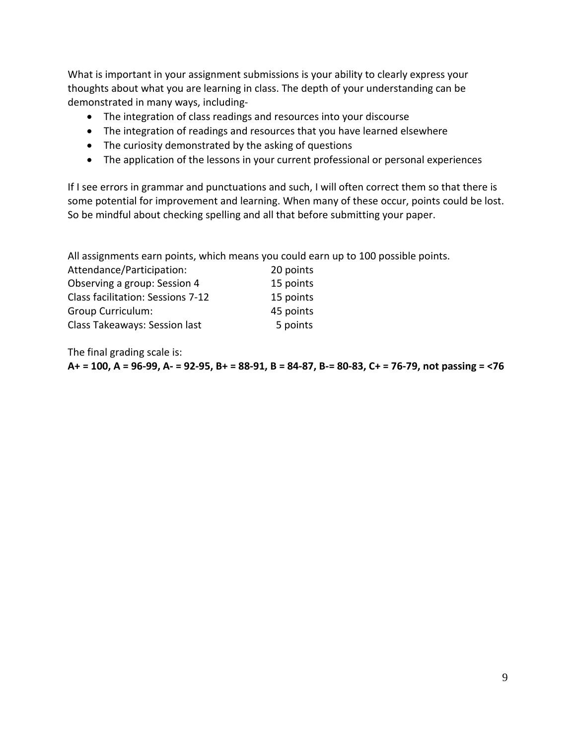What is important in your assignment submissions is your ability to clearly express your thoughts about what you are learning in class. The depth of your understanding can be demonstrated in many ways, including-

- The integration of class readings and resources into your discourse
- The integration of readings and resources that you have learned elsewhere
- The curiosity demonstrated by the asking of questions
- The application of the lessons in your current professional or personal experiences

If I see errors in grammar and punctuations and such, I will often correct them so that there is some potential for improvement and learning. When many of these occur, points could be lost. So be mindful about checking spelling and all that before submitting your paper.

All assignments earn points, which means you could earn up to 100 possible points.

| Attendance/Participation:         | 20 points |
|-----------------------------------|-----------|
| Observing a group: Session 4      | 15 points |
| Class facilitation: Sessions 7-12 | 15 points |
| <b>Group Curriculum:</b>          | 45 points |
| Class Takeaways: Session last     | 5 points  |
|                                   |           |

The final grading scale is:

**A+ = 100, A = 96-99, A- = 92-95, B+ = 88-91, B = 84-87, B-= 80-83, C+ = 76-79, not passing = <76**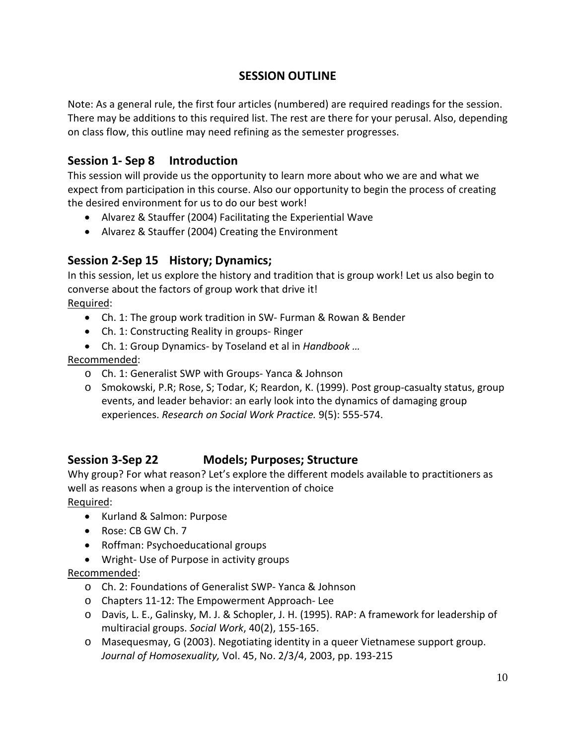# **SESSION OUTLINE**

Note: As a general rule, the first four articles (numbered) are required readings for the session. There may be additions to this required list. The rest are there for your perusal. Also, depending on class flow, this outline may need refining as the semester progresses.

# **Session 1- Sep 8 Introduction**

This session will provide us the opportunity to learn more about who we are and what we expect from participation in this course. Also our opportunity to begin the process of creating the desired environment for us to do our best work!

- Alvarez & Stauffer (2004) Facilitating the Experiential Wave
- Alvarez & Stauffer (2004) Creating the Environment

## **Session 2-Sep 15 History; Dynamics;**

In this session, let us explore the history and tradition that is group work! Let us also begin to converse about the factors of group work that drive it! Required:

- Ch. 1: The group work tradition in SW- Furman & Rowan & Bender
- Ch. 1: Constructing Reality in groups- Ringer
- Ch. 1: Group Dynamics- by Toseland et al in *Handbook …*

### Recommended:

- o Ch. 1: Generalist SWP with Groups- Yanca & Johnson
- o Smokowski, P.R; Rose, S; Todar, K; Reardon, K. (1999). Post group-casualty status, group events, and leader behavior: an early look into the dynamics of damaging group experiences. *Research on Social Work Practice.* 9(5): 555-574.

# **Session 3-Sep 22 Models; Purposes; Structure**

Why group? For what reason? Let's explore the different models available to practitioners as well as reasons when a group is the intervention of choice

Required:

- Kurland & Salmon: Purpose
- Rose: CB GW Ch. 7
- Roffman: Psychoeducational groups
- Wright- Use of Purpose in activity groups

### Recommended:

- o Ch. 2: Foundations of Generalist SWP- Yanca & Johnson
- o Chapters 11-12: The Empowerment Approach- Lee
- o Davis, L. E., Galinsky, M. J. & Schopler, J. H. (1995). RAP: A framework for leadership of multiracial groups. *Social Work*, 40(2), 155-165.
- o Masequesmay, G (2003). Negotiating identity in a queer Vietnamese support group. *Journal of Homosexuality,* Vol. 45, No. 2/3/4, 2003, pp. 193-215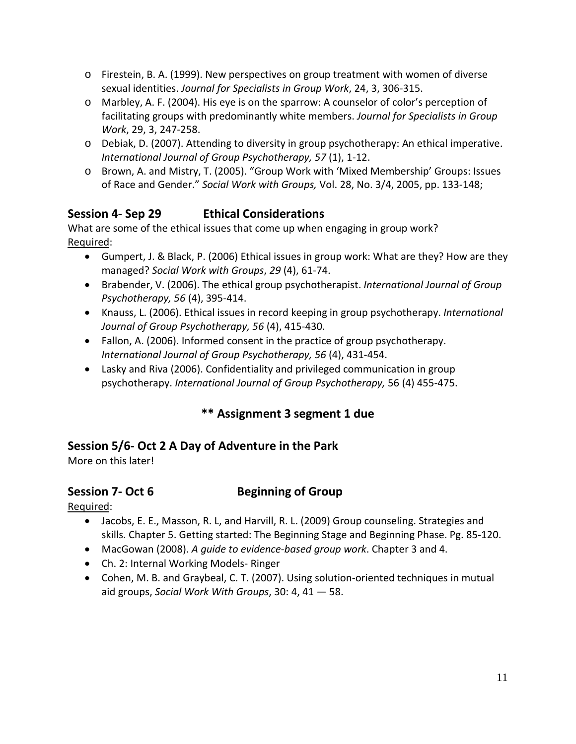- o Firestein, B. A. (1999). New perspectives on group treatment with women of diverse sexual identities. *Journal for Specialists in Group Work*, 24, 3, 306-315.
- o Marbley, A. F. (2004). His eye is on the sparrow: A counselor of color's perception of facilitating groups with predominantly white members. *Journal for Specialists in Group Work*, 29, 3, 247-258.
- o Debiak, D. (2007). Attending to diversity in group psychotherapy: An ethical imperative. *International Journal of Group Psychotherapy, 57* (1), 1-12.
- o Brown, A. and Mistry, T. (2005). "Group Work with 'Mixed Membership' Groups: Issues of Race and Gender." *Social Work with Groups,* Vol. 28, No. 3/4, 2005, pp. 133-148;

# **Session 4- Sep 29 Ethical Considerations**

What are some of the ethical issues that come up when engaging in group work? Required:

- Gumpert, J. & Black, P. (2006) Ethical issues in group work: What are they? How are they managed? *Social Work with Groups*, *29* (4), 61-74.
- Brabender, V. (2006). The ethical group psychotherapist. *International Journal of Group Psychotherapy, 56* (4), 395-414.
- Knauss, L. (2006). Ethical issues in record keeping in group psychotherapy. *International Journal of Group Psychotherapy, 56* (4), 415-430.
- Fallon, A. (2006). Informed consent in the practice of group psychotherapy. *International Journal of Group Psychotherapy, 56* (4), 431-454.
- Lasky and Riva (2006). Confidentiality and privileged communication in group psychotherapy. *International Journal of Group Psychotherapy,* 56 (4) 455-475.

# **\*\* Assignment 3 segment 1 due**

# **Session 5/6- Oct 2 A Day of Adventure in the Park**

More on this later!

# **Session 7- Oct 6 Beginning of Group**

Required:

- Jacobs, E. E., Masson, R. L, and Harvill, R. L. (2009) Group counseling. Strategies and skills. Chapter 5. Getting started: The Beginning Stage and Beginning Phase. Pg. 85-120.
- MacGowan (2008). *A guide to evidence-based group work*. Chapter 3 and 4.
- Ch. 2: Internal Working Models- Ringer
- Cohen, M. B. and Graybeal, C. T. (2007). Using solution-oriented techniques in mutual aid groups, *Social Work With Groups*, 30: 4, 41 — 58.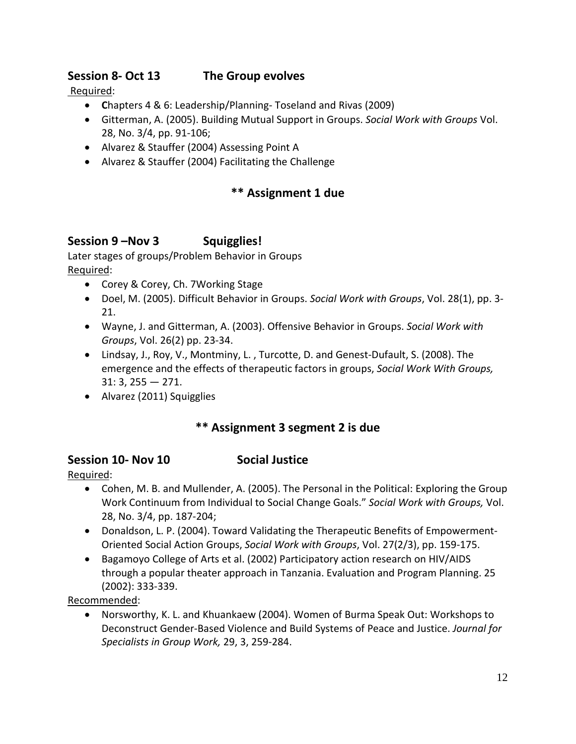# **Session 8- Oct 13 The Group evolves**

#### Required:

- **C**hapters 4 & 6: Leadership/Planning- Toseland and Rivas (2009)
- Gitterman, A. (2005). Building Mutual Support in Groups. *Social Work with Groups* Vol. 28, No. 3/4, pp. 91-106;
- Alvarez & Stauffer (2004) Assessing Point A
- Alvarez & Stauffer (2004) Facilitating the Challenge

# **\*\* Assignment 1 due**

### **Session 9 –Nov 3 Squigglies!**

Later stages of groups/Problem Behavior in Groups Required:

- Corey & Corey, Ch. 7Working Stage
- Doel, M. (2005). Difficult Behavior in Groups. *Social Work with Groups*, Vol. 28(1), pp. 3- 21.
- Wayne, J. and Gitterman, A. (2003). Offensive Behavior in Groups. *Social Work with Groups*, Vol. 26(2) pp. 23-34.
- Lindsay, J., Roy, V., Montminy, L. , Turcotte, D. and Genest-Dufault, S. (2008). The emergence and the effects of therapeutic factors in groups, *Social Work With Groups,*  31: 3, 255 — 271.
- Alvarez (2011) Squigglies

## **\*\* Assignment 3 segment 2 is due**

#### **Session 10- Nov 10 Social Justice**

Required:

- Cohen, M. B. and Mullender, A. (2005). The Personal in the Political: Exploring the Group Work Continuum from Individual to Social Change Goals." *Social Work with Groups,* Vol. 28, No. 3/4, pp. 187-204;
- Donaldson, L. P. (2004). Toward Validating the Therapeutic Benefits of Empowerment-Oriented Social Action Groups, *Social Work with Groups*, Vol. 27(2/3), pp. 159-175.
- Bagamoyo College of Arts et al. (2002) Participatory action research on HIV/AIDS through a popular theater approach in Tanzania. Evaluation and Program Planning. 25 (2002): 333-339.

Recommended:

• Norsworthy, K. L. and Khuankaew (2004). Women of Burma Speak Out: Workshops to Deconstruct Gender-Based Violence and Build Systems of Peace and Justice. *Journal for Specialists in Group Work,* 29, 3, 259-284.